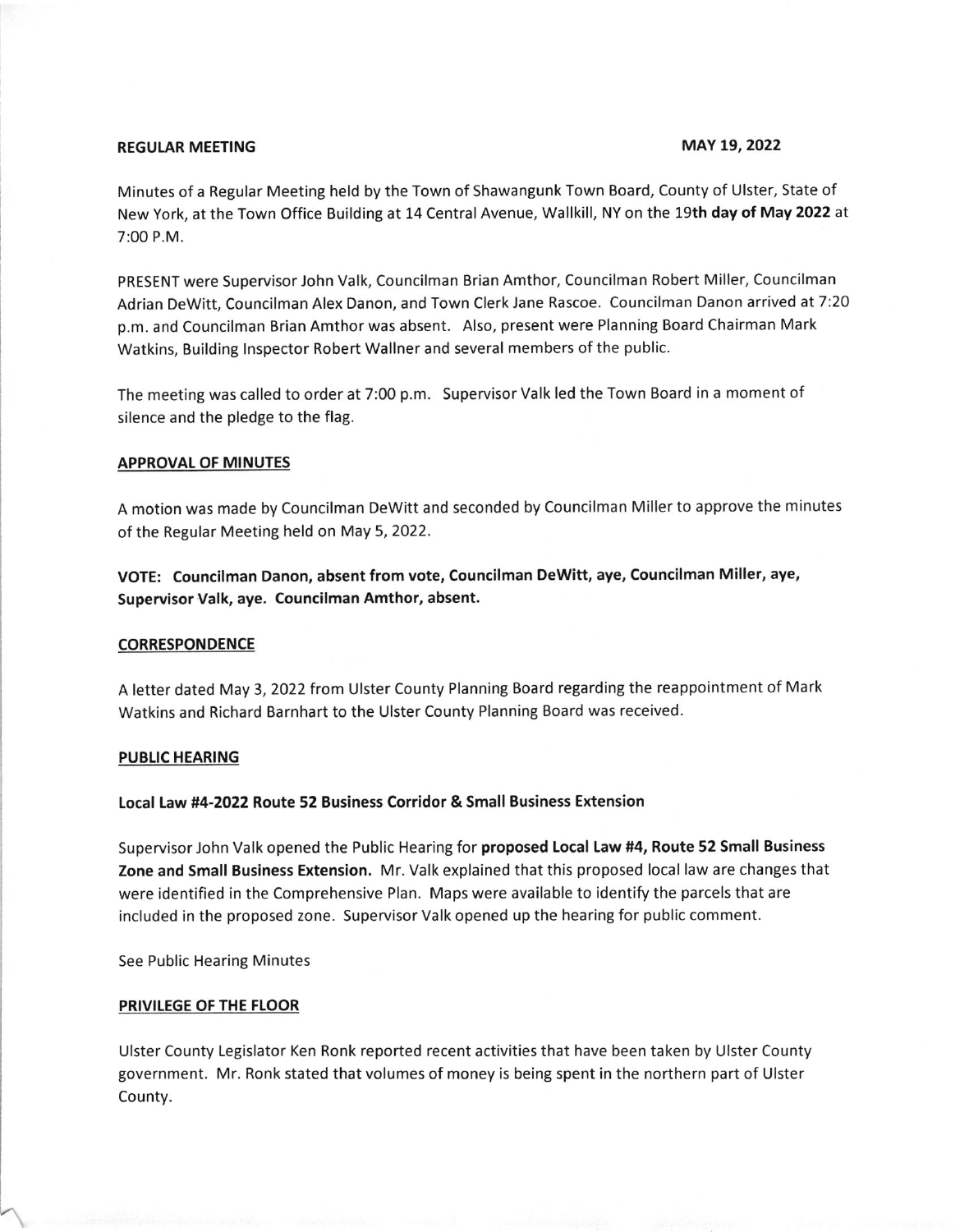# REGULAR MEETING **MAY 19, 2022**

Minutes of a Regular Meeting held by the Town of Shawangunk Town Board, County of Ulster, State of New York, at the Town Office Building at 14 Central Avenue, Wallkill, NY on the 19th day of May 2022 at 7:00 P.M.

PRESENT were Supervisor John Valk, Councilman Brian Amthor, Councilman Robert Miller, Councilman Adrian Dewitt, Councilman Alex Danon, and Town Clerk Jane Rascoe. Councilman Danon arrived at 7:20 p.m. and Councilman Brian Amthor was absent. Also, present were Planning Board Chairman Mark Watkins, Building lnspector Robert Wallner and several members of the public.

The meeting was called to order at 7:00 p.m. Supervisor Valk led the Town Board in a moment of silence and the pledge to the flag.

# **APPROVAL OF MINUTES**

A motion was made by Councilman Dewitt and seconded by Councilman Miller to approve the minutes of the Regular Meeting held on May 5, 2022.

VOTE: Councilman Danon, absent from vote, Councilman Dewitt, aye, Councilman Miller, aye, Supervisor Valk, aye. Councilman Amthor, absent.

### CORRESPONDENCE

A letter dated May 3,2022 from Ulster county Planning Board regarding the reappointment of Mark Watkins and Richard Barnhart to the Ulster County Planning Board was received.

# PUBLIC HEARING

# Local Law #4-2022 Route 52 Business Corridor & Small Business Extension

Supervisor John Valk opened the Public Hearing for proposed Local Law #4, Route 52 Small Business Zone and Small Business Extension. Mr. Valk explained that this proposed local law are changes that were identified in the Comprehensive Plan. Maps were available to identify the parcels that are included in the proposed zone. Supervisor Valk opened up the hearing for public comment.

See Public Hearing Minutes

# PRIVILEGE OF THE FLOOR

Ulster County Legislator Ken Ronk reported recent activities that have been taken by Ulster County government. Mr. Ronk stated that volumes of money is being spent in the northern part of Ulster County.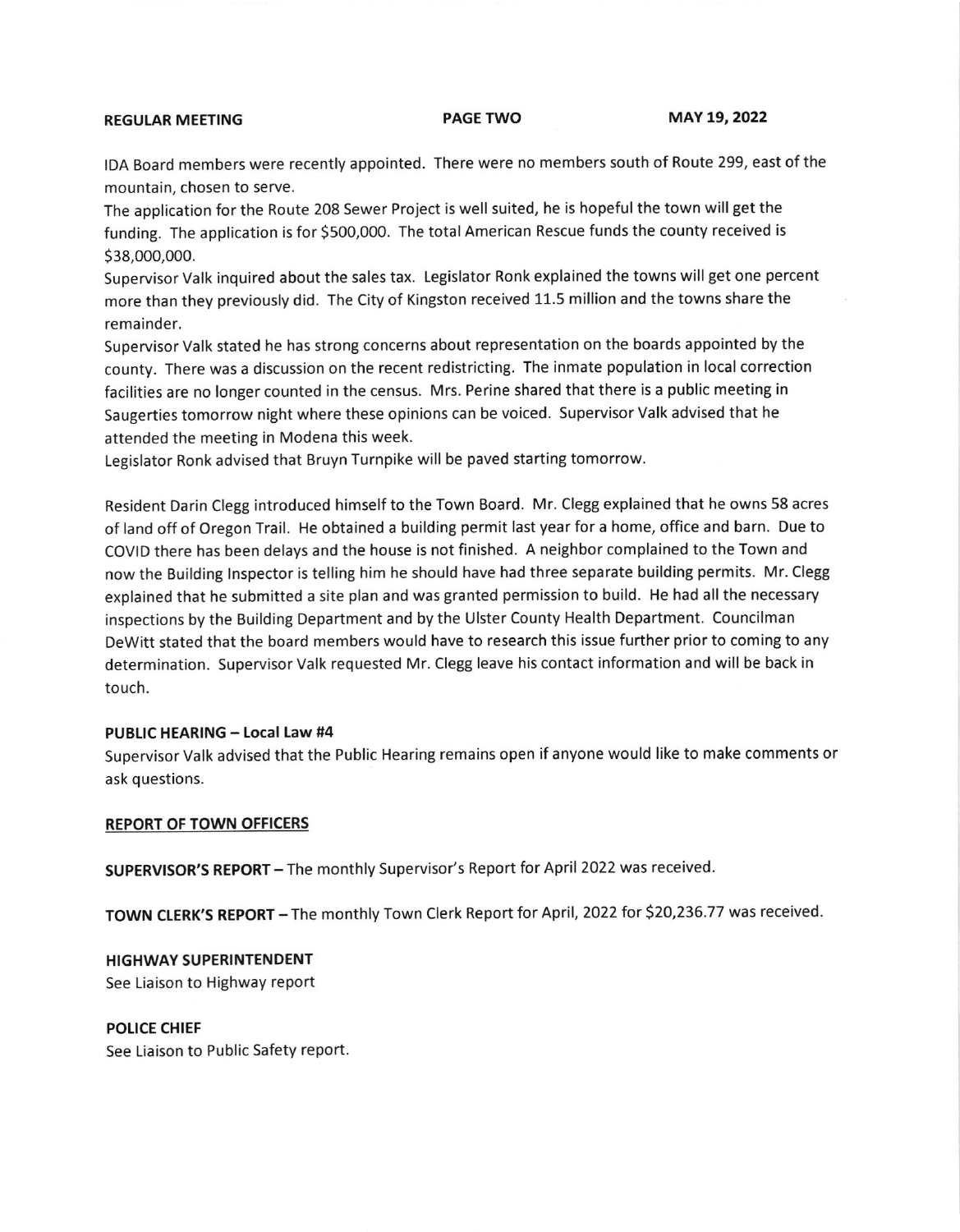# REGULAR MEETING PAGE TWO MAY 19, 2022

IDA Board members were recently appointed. There were no members south of Route 299, east of the mountain, chosen to serve.

The application for the Route 208 Sewer Project is well suited, he is hopeful the town will get the funding. The application is for 5500,000. The total American Rescue funds the county received is s38,000,000.

Supervisor Valk inquired about the sales tax. Legislator Ronk explained the towns will get one percent more than they previously did. The City of Kingston received 11.5 million and the towns share the remainder.

Supervisor Valk stated he has strong concerns about representation on the boards appointed by the county. There was a discussion on the recent redistricting. The inmate population in local correction facilities are no longer counted in the census. Mrs. Perine shared that there is a public meeting in Saugerties tomorrow night where these opinions can be voiced. Supervisor Valk advised that he attended the meeting in Modena this week.

Legislator Ronk advised that Bruyn Turnpike will be paved starting tomorrow.

Resident Darin Clegg introduced himself to the Town Board. Mr. Clegg explained that he owns 58 acres of land off of oregon Trail. He obtained a building permit last year for a home, office and barn. Due to COVID there has been delays and the house is not finished. A neighbor complained to the Town and now the Building lnspector is telling him he should have had three separate building permits. Mr. Clegg explained that he submitted a site plan and was granted permission to build. He had all the necessary inspections by the Building Department and by the Ulster County Health Department. Councilman Dewitt stated that the board members would have to research this issue further prior to coming to any determination. Supervisor Valk requested Mr. Clegg leave his contact information and will be back in touch.

# PUBLIC HEARING - Local Law #4

Supervisor Valk advised that the Public Hearing remains open if anyone would like to make comments or ask questions.

# REPORT OF TOWN OFFICERS

SUPERVISOR'S REPORT - The monthly Supervisor's Report for April 2022 was received.

TOWN CLERK'S REPORT - The monthly Town Clerk Report for April, 2022 for \$20,236.77 was received.

HIGHWAY SUPERINTENDENT See Liaison to Highway report

POLICE CHIEF

See Liaison to Public Safety report.